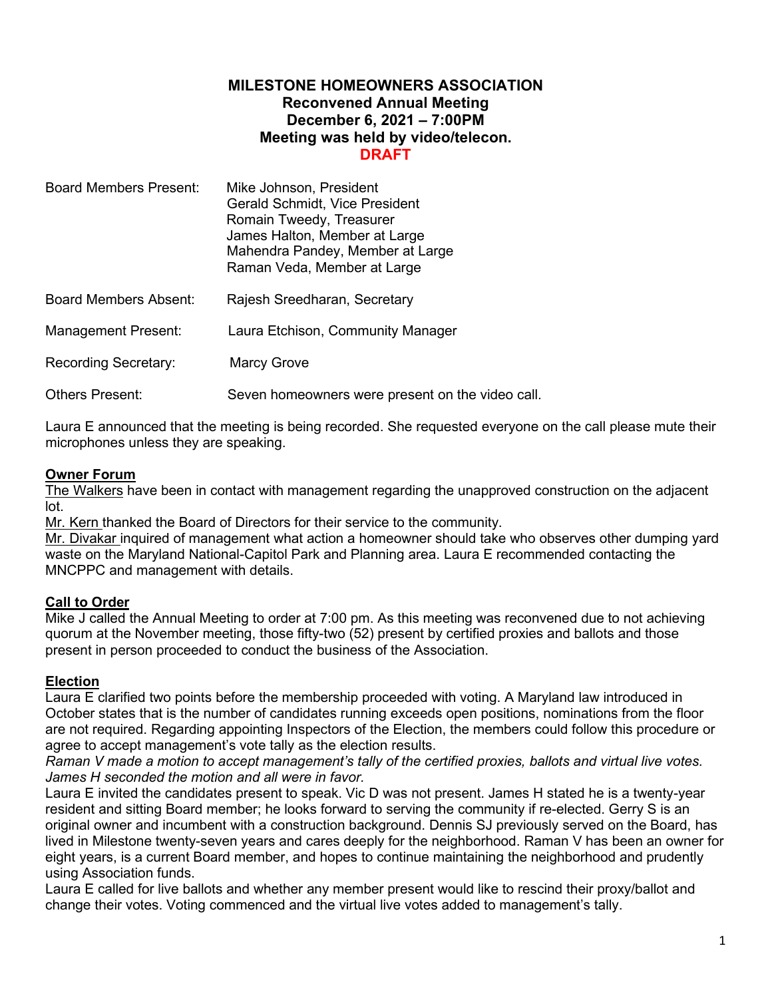## **MILESTONE HOMEOWNERS ASSOCIATION Reconvened Annual Meeting December 6, 2021 – 7:00PM Meeting was held by video/telecon. DRAFT**

| Board Members Present: | Mike Johnson, President<br>Gerald Schmidt, Vice President<br>Romain Tweedy, Treasurer<br>James Halton, Member at Large<br>Mahendra Pandey, Member at Large<br>Raman Veda, Member at Large |
|------------------------|-------------------------------------------------------------------------------------------------------------------------------------------------------------------------------------------|
| Board Members Absent:  | Rajesh Sreedharan, Secretary                                                                                                                                                              |
| Management Present:    | Laura Etchison, Community Manager                                                                                                                                                         |
| Recording Secretary:   | <b>Marcy Grove</b>                                                                                                                                                                        |
| Others Present:        | Seven homeowners were present on the video call.                                                                                                                                          |

Laura E announced that the meeting is being recorded. She requested everyone on the call please mute their microphones unless they are speaking.

## **Owner Forum**

The Walkers have been in contact with management regarding the unapproved construction on the adjacent lot.

Mr. Kern thanked the Board of Directors for their service to the community.

Mr. Divakar inquired of management what action a homeowner should take who observes other dumping yard waste on the Maryland National-Capitol Park and Planning area. Laura E recommended contacting the MNCPPC and management with details.

## **Call to Order**

Mike J called the Annual Meeting to order at 7:00 pm. As this meeting was reconvened due to not achieving quorum at the November meeting, those fifty-two (52) present by certified proxies and ballots and those present in person proceeded to conduct the business of the Association.

## **Election**

Laura E clarified two points before the membership proceeded with voting. A Maryland law introduced in October states that is the number of candidates running exceeds open positions, nominations from the floor are not required. Regarding appointing Inspectors of the Election, the members could follow this procedure or agree to accept management's vote tally as the election results.

*Raman V made a motion to accept management's tally of the certified proxies, ballots and virtual live votes. James H seconded the motion and all were in favor.* 

Laura E invited the candidates present to speak. Vic D was not present. James H stated he is a twenty-year resident and sitting Board member; he looks forward to serving the community if re-elected. Gerry S is an original owner and incumbent with a construction background. Dennis SJ previously served on the Board, has lived in Milestone twenty-seven years and cares deeply for the neighborhood. Raman V has been an owner for eight years, is a current Board member, and hopes to continue maintaining the neighborhood and prudently using Association funds.

Laura E called for live ballots and whether any member present would like to rescind their proxy/ballot and change their votes. Voting commenced and the virtual live votes added to management's tally.